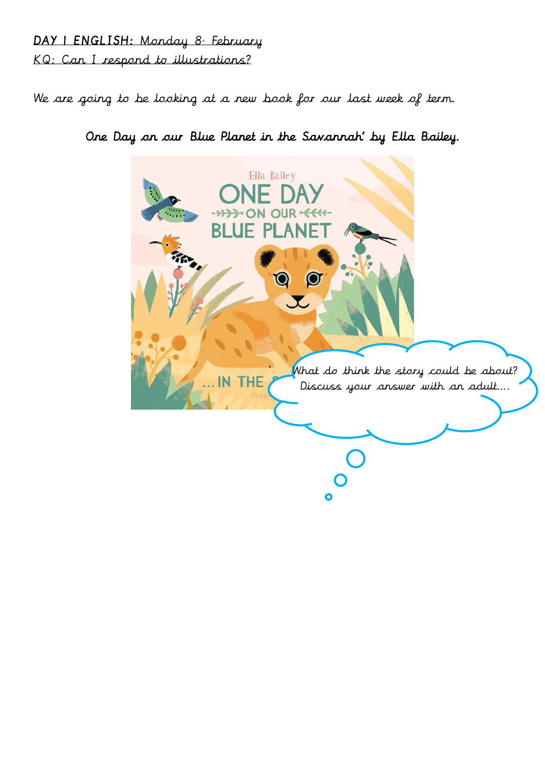## DAY I ENGLISH: Monday 8 February KQ: Can I respond to illustrations?

We are going to be looking at a new book for our last week of term.

One Day on our Blue Planet in the Savannah' by Ella Bailey.

Ella Bailey R What do think the story could be about? **THE** IN Discuss your answer with an adult….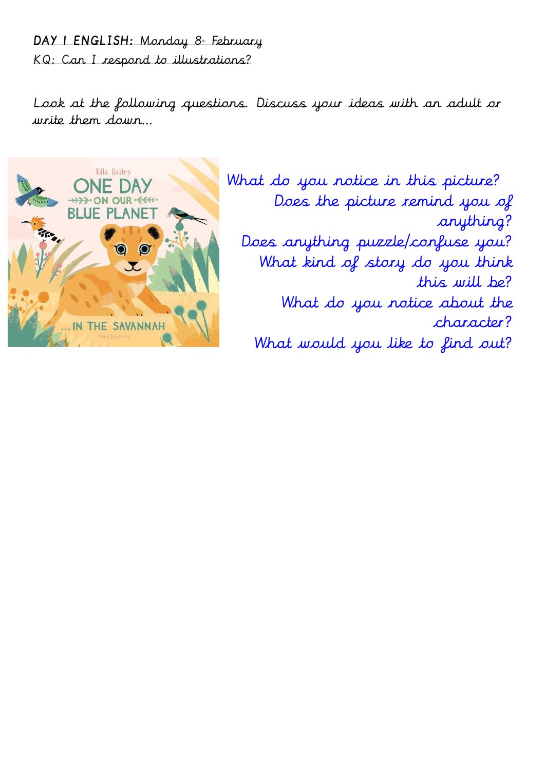## DAY | ENGLISH: Monday 8. February KQ: Can I respond to illustrations?

Look at the following questions. Discuss your ideas with an adult or write them down…



What do you notice in this picture? Does the picture remind you of anything? Does anything puzzle/confuse you? What kind of story do you think this will be? What do you notice about the character? What would you like to find out?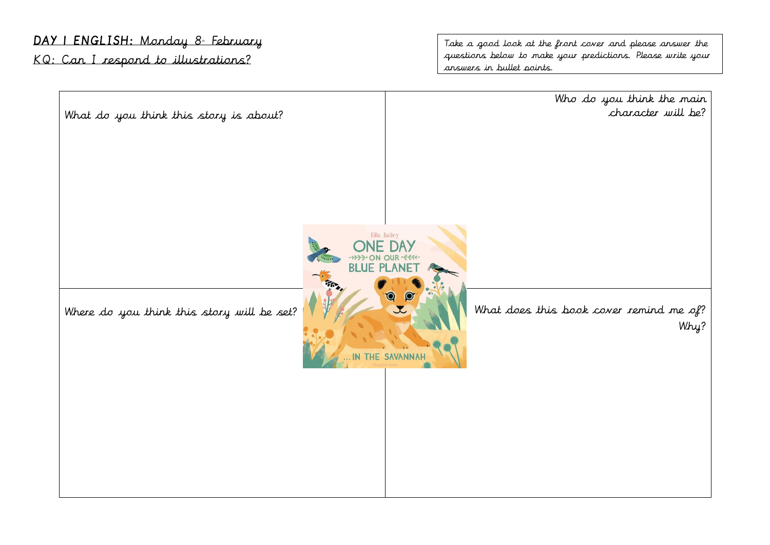## DAY I ENGLISH: Monday 8. February

KQ: Can I respond to illustrations?

Take a good look at the front cover and please answer the questions below to make your predictions. Please write your answers in bullet points.